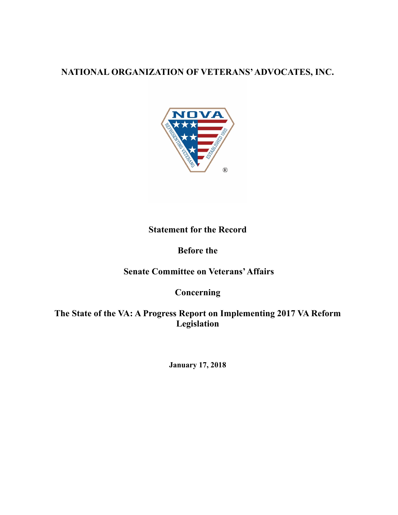# **NATIONAL ORGANIZATION OF VETERANS' ADVOCATES, INC.**



## **Statement for the Record**

## **Before the**

# **Senate Committee on Veterans' Affairs**

### **Concerning**

**The State of the VA: A Progress Report on Implementing 2017 VA Reform Legislation**

**January 17, 2018**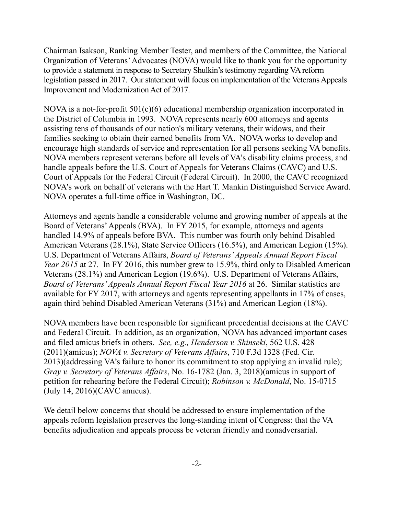Chairman Isakson, Ranking Member Tester, and members of the Committee, the National Organization of Veterans' Advocates (NOVA) would like to thank you for the opportunity to provide a statement in response to Secretary Shulkin's testimony regarding VA reform legislation passed in 2017. Our statement will focus on implementation of the Veterans Appeals Improvement and Modernization Act of 2017.

NOVA is a not-for-profit  $501(c)(6)$  educational membership organization incorporated in the District of Columbia in 1993. NOVA represents nearly 600 attorneys and agents assisting tens of thousands of our nation's military veterans, their widows, and their families seeking to obtain their earned benefits from VA. NOVA works to develop and encourage high standards of service and representation for all persons seeking VA benefits. NOVA members represent veterans before all levels of VA's disability claims process, and handle appeals before the U.S. Court of Appeals for Veterans Claims (CAVC) and U.S. Court of Appeals for the Federal Circuit (Federal Circuit). In 2000, the CAVC recognized NOVA's work on behalf of veterans with the Hart T. Mankin Distinguished Service Award. NOVA operates a full-time office in Washington, DC.

Attorneys and agents handle a considerable volume and growing number of appeals at the Board of Veterans' Appeals (BVA). In FY 2015, for example, attorneys and agents handled 14.9% of appeals before BVA. This number was fourth only behind Disabled American Veterans (28.1%), State Service Officers (16.5%), and American Legion (15%). U.S. Department of Veterans Affairs, *Board of Veterans' Appeals Annual Report Fiscal Year 2015* at 27. In FY 2016, this number grew to 15.9%, third only to Disabled American Veterans (28.1%) and American Legion (19.6%). U.S. Department of Veterans Affairs, *Board of Veterans' Appeals Annual Report Fiscal Year 2016* at 26. Similar statistics are available for FY 2017, with attorneys and agents representing appellants in 17% of cases, again third behind Disabled American Veterans (31%) and American Legion (18%).

NOVA members have been responsible for significant precedential decisions at the CAVC and Federal Circuit. In addition, as an organization, NOVA has advanced important cases and filed amicus briefs in others. *See, e.g., Henderson v. Shinseki*, 562 U.S. 428 (2011)(amicus); *NOVA v. Secretary of Veterans Affairs*, 710 F.3d 1328 (Fed. Cir. 2013)(addressing VA's failure to honor its commitment to stop applying an invalid rule); *Gray v. Secretary of Veterans Affairs*, No. 16-1782 (Jan. 3, 2018)(amicus in support of petition for rehearing before the Federal Circuit); *Robinson v. McDonald*, No. 15-0715 (July 14, 2016)(CAVC amicus).

We detail below concerns that should be addressed to ensure implementation of the appeals reform legislation preserves the long-standing intent of Congress: that the VA benefits adjudication and appeals process be veteran friendly and nonadversarial.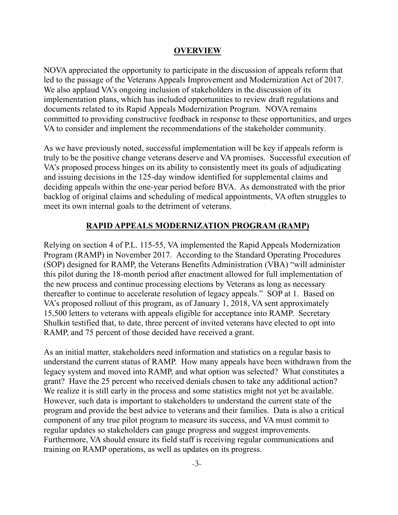#### **OVERVIEW**

NOVA appreciated the opportunity to participate in the discussion of appeals reform that led to the passage of the Veterans Appeals Improvement and Modernization Act of 2017. We also applaud VA's ongoing inclusion of stakeholders in the discussion of its implementation plans, which has included opportunities to review draft regulations and documents related to its Rapid Appeals Modernization Program. NOVA remains committed to providing constructive feedback in response to these opportunities, and urges VA to consider and implement the recommendations of the stakeholder community.

As we have previously noted, successful implementation will be key if appeals reform is truly to be the positive change veterans deserve and VA promises. Successful execution of VA's proposed process hinges on its ability to consistently meet its goals of adjudicating and issuing decisions in the 125-day window identified for supplemental claims and deciding appeals within the one-year period before BVA. As demonstrated with the prior backlog of original claims and scheduling of medical appointments, VA often struggles to meet its own internal goals to the detriment of veterans.

#### **RAPID APPEALS MODERNIZATION PROGRAM (RAMP)**

Relying on section 4 of P.L. 115-55, VA implemented the Rapid Appeals Modernization Program (RAMP) in November 2017. According to the Standard Operating Procedures (SOP) designed for RAMP, the Veterans Benefits Administration (VBA) "will administer this pilot during the 18-month period after enactment allowed for full implementation of the new process and continue processing elections by Veterans as long as necessary thereafter to continue to accelerate resolution of legacy appeals." SOP at 1. Based on VA's proposed rollout of this program, as of January 1, 2018, VA sent approximately 15,500 letters to veterans with appeals eligible for acceptance into RAMP. Secretary Shulkin testified that, to date, three percent of invited veterans have elected to opt into RAMP, and 75 percent of those decided have received a grant.

As an initial matter, stakeholders need information and statistics on a regular basis to understand the current status of RAMP. How many appeals have been withdrawn from the legacy system and moved into RAMP, and what option was selected? What constitutes a grant? Have the 25 percent who received denials chosen to take any additional action? We realize it is still early in the process and some statistics might not yet be available. However, such data is important to stakeholders to understand the current state of the program and provide the best advice to veterans and their families. Data is also a critical component of any true pilot program to measure its success, and VA must commit to regular updates so stakeholders can gauge progress and suggest improvements. Furthermore, VA should ensure its field staff is receiving regular communications and training on RAMP operations, as well as updates on its progress.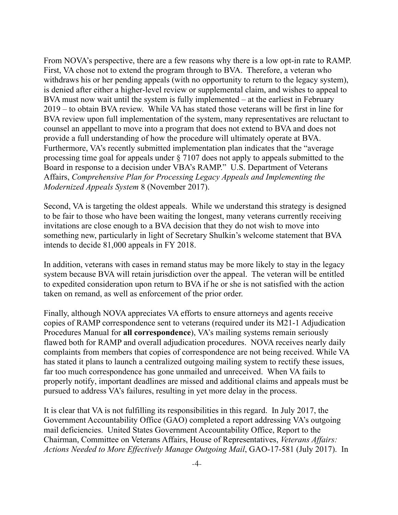From NOVA's perspective, there are a few reasons why there is a low opt-in rate to RAMP. First, VA chose not to extend the program through to BVA. Therefore, a veteran who withdraws his or her pending appeals (with no opportunity to return to the legacy system), is denied after either a higher-level review or supplemental claim, and wishes to appeal to BVA must now wait until the system is fully implemented – at the earliest in February 2019 – to obtain BVA review. While VA has stated those veterans will be first in line for BVA review upon full implementation of the system, many representatives are reluctant to counsel an appellant to move into a program that does not extend to BVA and does not provide a full understanding of how the procedure will ultimately operate at BVA. Furthermore, VA's recently submitted implementation plan indicates that the "average processing time goal for appeals under § 7107 does not apply to appeals submitted to the Board in response to a decision under VBA's RAMP." U.S. Department of Veterans Affairs, *Comprehensive Plan for Processing Legacy Appeals and Implementing the Modernized Appeals System* 8 (November 2017).

Second, VA is targeting the oldest appeals. While we understand this strategy is designed to be fair to those who have been waiting the longest, many veterans currently receiving invitations are close enough to a BVA decision that they do not wish to move into something new, particularly in light of Secretary Shulkin's welcome statement that BVA intends to decide 81,000 appeals in FY 2018.

In addition, veterans with cases in remand status may be more likely to stay in the legacy system because BVA will retain jurisdiction over the appeal. The veteran will be entitled to expedited consideration upon return to BVA if he or she is not satisfied with the action taken on remand, as well as enforcement of the prior order.

Finally, although NOVA appreciates VA efforts to ensure attorneys and agents receive copies of RAMP correspondence sent to veterans (required under its M21-1 Adjudication Procedures Manual for **all correspondence**), VA's mailing systems remain seriously flawed both for RAMP and overall adjudication procedures. NOVA receives nearly daily complaints from members that copies of correspondence are not being received. While VA has stated it plans to launch a centralized outgoing mailing system to rectify these issues, far too much correspondence has gone unmailed and unreceived. When VA fails to properly notify, important deadlines are missed and additional claims and appeals must be pursued to address VA's failures, resulting in yet more delay in the process.

It is clear that VA is not fulfilling its responsibilities in this regard. In July 2017, the Government Accountability Office (GAO) completed a report addressing VA's outgoing mail deficiencies. United States Government Accountability Office, Report to the Chairman, Committee on Veterans Affairs, House of Representatives, *Veterans Affairs: Actions Needed to More Effectively Manage Outgoing Mail*, GAO-17-581 (July 2017). In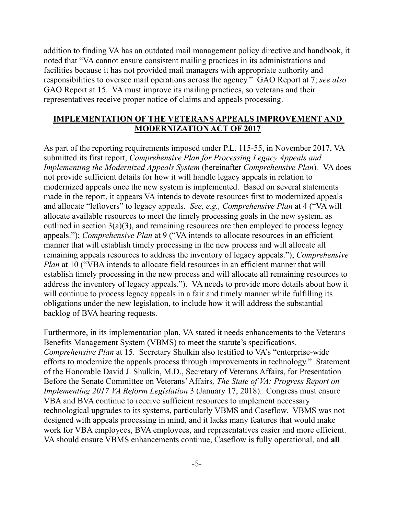addition to finding VA has an outdated mail management policy directive and handbook, it noted that "VA cannot ensure consistent mailing practices in its administrations and facilities because it has not provided mail managers with appropriate authority and responsibilities to oversee mail operations across the agency." GAO Report at 7; *see also*  GAO Report at 15. VA must improve its mailing practices, so veterans and their representatives receive proper notice of claims and appeals processing.

#### **IMPLEMENTATION OF THE VETERANS APPEALS IMPROVEMENT AND MODERNIZATION ACT OF 2017**

As part of the reporting requirements imposed under P.L. 115-55, in November 2017, VA submitted its first report, *Comprehensive Plan for Processing Legacy Appeals and Implementing the Modernized Appeals System* (hereinafter *Comprehensive Plan*)*.* VA does not provide sufficient details for how it will handle legacy appeals in relation to modernized appeals once the new system is implemented. Based on several statements made in the report, it appears VA intends to devote resources first to modernized appeals and allocate "leftovers" to legacy appeals. *See, e.g., Comprehensive Plan* at 4 ("VA will allocate available resources to meet the timely processing goals in the new system, as outlined in section 3(a)(3), and remaining resources are then employed to process legacy appeals."); *Comprehensive Plan* at 9 ("VA intends to allocate resources in an efficient manner that will establish timely processing in the new process and will allocate all remaining appeals resources to address the inventory of legacy appeals."); *Comprehensive Plan* at 10 ("VBA intends to allocate field resources in an efficient manner that will establish timely processing in the new process and will allocate all remaining resources to address the inventory of legacy appeals."). VA needs to provide more details about how it will continue to process legacy appeals in a fair and timely manner while fulfilling its obligations under the new legislation, to include how it will address the substantial backlog of BVA hearing requests.

Furthermore, in its implementation plan, VA stated it needs enhancements to the Veterans Benefits Management System (VBMS) to meet the statute's specifications. *Comprehensive Plan* at 15. Secretary Shulkin also testified to VA's "enterprise-wide efforts to modernize the appeals process through improvements in technology." Statement of the Honorable David J. Shulkin, M.D., Secretary of Veterans Affairs, for Presentation Before the Senate Committee on Veterans' Affairs*, The State of VA: Progress Report on Implementing 2017 VA Reform Legislation* 3 (January 17, 2018). Congress must ensure VBA and BVA continue to receive sufficient resources to implement necessary technological upgrades to its systems, particularly VBMS and Caseflow. VBMS was not designed with appeals processing in mind, and it lacks many features that would make work for VBA employees, BVA employees, and representatives easier and more efficient. VA should ensure VBMS enhancements continue, Caseflow is fully operational, and **all**